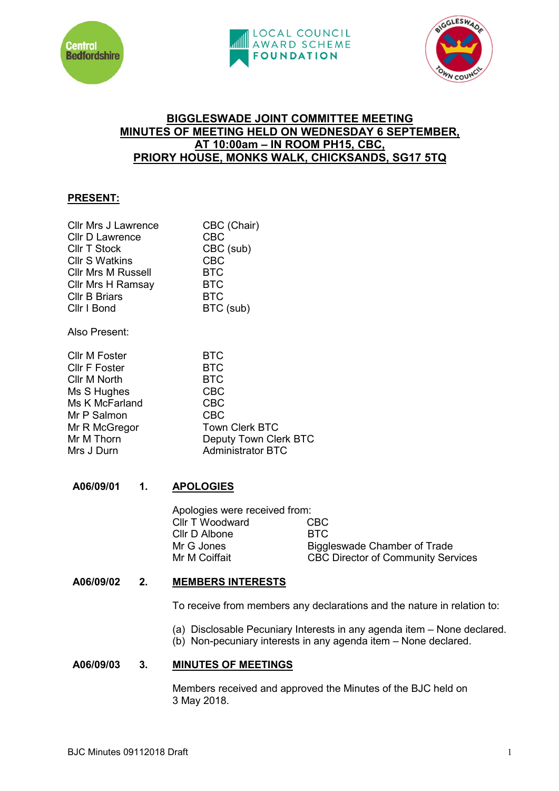





# **BIGGLESWADE JOINT COMMITTEE MEETING MINUTES OF MEETING HELD ON WEDNESDAY 6 SEPTEMBER, AT 10:00am – IN ROOM PH15, CBC, PRIORY HOUSE, MONKS WALK, CHICKSANDS, SG17 5TQ**

## **PRESENT:**

| Cllr Mrs J Lawrence       | CBC (Chair) |
|---------------------------|-------------|
| <b>Cllr D Lawrence</b>    | <b>CBC</b>  |
| <b>Cllr T Stock</b>       | CBC (sub)   |
| <b>CIIr S Watkins</b>     | <b>CBC</b>  |
| <b>Cllr Mrs M Russell</b> | <b>BTC</b>  |
| Cllr Mrs H Ramsay         | <b>BTC</b>  |
| <b>Cllr B Briars</b>      | <b>BTC</b>  |
| Cllr I Bond               | BTC (sub)   |
|                           |             |

Also Present:

| <b>BTC</b>               |
|--------------------------|
| <b>BTC</b>               |
| <b>BTC</b>               |
| <b>CBC</b>               |
| <b>CBC</b>               |
| <b>CBC</b>               |
| <b>Town Clerk BTC</b>    |
| Deputy Town Clerk BTC    |
| <b>Administrator BTC</b> |
|                          |

# **A06/09/01 1. APOLOGIES**

| Apologies were received from: |                                           |
|-------------------------------|-------------------------------------------|
| Cllr T Woodward               | CBC.                                      |
| Cllr D Albone                 | BTC.                                      |
| Mr G Jones                    | Biggleswade Chamber of Trade              |
| Mr M Coiffait                 | <b>CBC Director of Community Services</b> |
|                               |                                           |

# **A06/09/02 2. MEMBERS INTERESTS**

To receive from members any declarations and the nature in relation to:

- (a) Disclosable Pecuniary Interests in any agenda item None declared.
- (b) Non-pecuniary interests in any agenda item None declared.

## **A06/09/03 3. MINUTES OF MEETINGS**

Members received and approved the Minutes of the BJC held on 3 May 2018.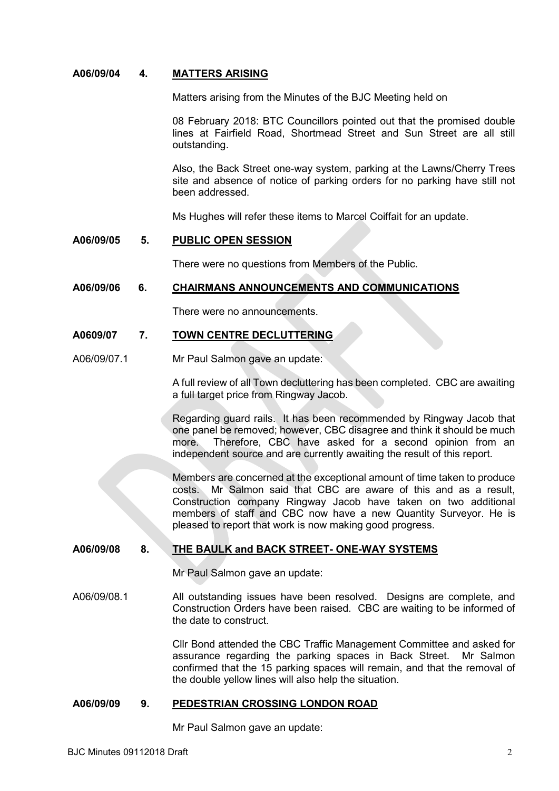### **A06/09/04 4. MATTERS ARISING**

Matters arising from the Minutes of the BJC Meeting held on

08 February 2018: BTC Councillors pointed out that the promised double lines at Fairfield Road, Shortmead Street and Sun Street are all still outstanding.

Also, the Back Street one-way system, parking at the Lawns/Cherry Trees site and absence of notice of parking orders for no parking have still not been addressed.

Ms Hughes will refer these items to Marcel Coiffait for an update.

#### **A06/09/05 5. PUBLIC OPEN SESSION**

There were no questions from Members of the Public.

#### **A06/09/06 6. CHAIRMANS ANNOUNCEMENTS AND COMMUNICATIONS**

There were no announcements.

### **A0609/07 7. TOWN CENTRE DECLUTTERING**

A06/09/07.1 Mr Paul Salmon gave an update:

A full review of all Town decluttering has been completed. CBC are awaiting a full target price from Ringway Jacob.

Regarding guard rails. It has been recommended by Ringway Jacob that one panel be removed; however, CBC disagree and think it should be much more. Therefore, CBC have asked for a second opinion from an independent source and are currently awaiting the result of this report.

Members are concerned at the exceptional amount of time taken to produce costs. Mr Salmon said that CBC are aware of this and as a result. Construction company Ringway Jacob have taken on two additional members of staff and CBC now have a new Quantity Surveyor. He is pleased to report that work is now making good progress.

## **A06/09/08 8. THE BAULK and BACK STREET- ONE-WAY SYSTEMS**

Mr Paul Salmon gave an update:

A06/09/08.1 All outstanding issues have been resolved. Designs are complete, and Construction Orders have been raised. CBC are waiting to be informed of the date to construct.

> Cllr Bond attended the CBC Traffic Management Committee and asked for assurance regarding the parking spaces in Back Street. Mr Salmon confirmed that the 15 parking spaces will remain, and that the removal of the double yellow lines will also help the situation.

### **A06/09/09 9. PEDESTRIAN CROSSING LONDON ROAD**

Mr Paul Salmon gave an update: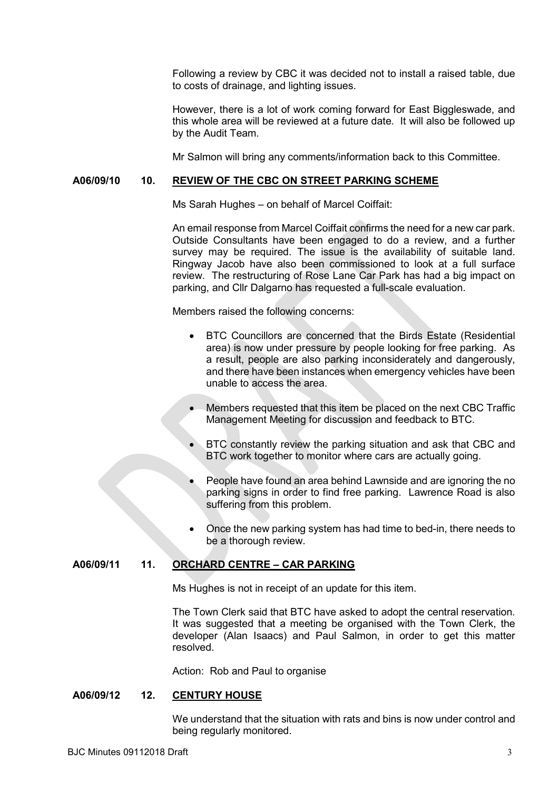Following a review by CBC it was decided not to install a raised table, due to costs of drainage, and lighting issues.

However, there is a lot of work coming forward for East Biggleswade, and this whole area will be reviewed at a future date. It will also be followed up by the Audit Team.

Mr Salmon will bring any comments/information back to this Committee.

### **A06/09/10 10. REVIEW OF THE CBC ON STREET PARKING SCHEME**

Ms Sarah Hughes – on behalf of Marcel Coiffait:

An email response from Marcel Coiffait confirms the need for a new car park. Outside Consultants have been engaged to do a review, and a further survey may be required. The issue is the availability of suitable land. Ringway Jacob have also been commissioned to look at a full surface review. The restructuring of Rose Lane Car Park has had a big impact on parking, and Cllr Dalgarno has requested a full-scale evaluation.

Members raised the following concerns:

- BTC Councillors are concerned that the Birds Estate (Residential area) is now under pressure by people looking for free parking. As a result, people are also parking inconsiderately and dangerously, and there have been instances when emergency vehicles have been unable to access the area.
- Members requested that this item be placed on the next CBC Traffic Management Meeting for discussion and feedback to BTC.
- BTC constantly review the parking situation and ask that CBC and BTC work together to monitor where cars are actually going.
- People have found an area behind Lawnside and are ignoring the no parking signs in order to find free parking. Lawrence Road is also suffering from this problem.
- Once the new parking system has had time to bed-in, there needs to be a thorough review.

### **A06/09/11 11. ORCHARD CENTRE – CAR PARKING**

Ms Hughes is not in receipt of an update for this item.

The Town Clerk said that BTC have asked to adopt the central reservation. It was suggested that a meeting be organised with the Town Clerk, the developer (Alan Isaacs) and Paul Salmon, in order to get this matter resolved.

Action: Rob and Paul to organise

### **A06/09/12 12. CENTURY HOUSE**

We understand that the situation with rats and bins is now under control and being regularly monitored.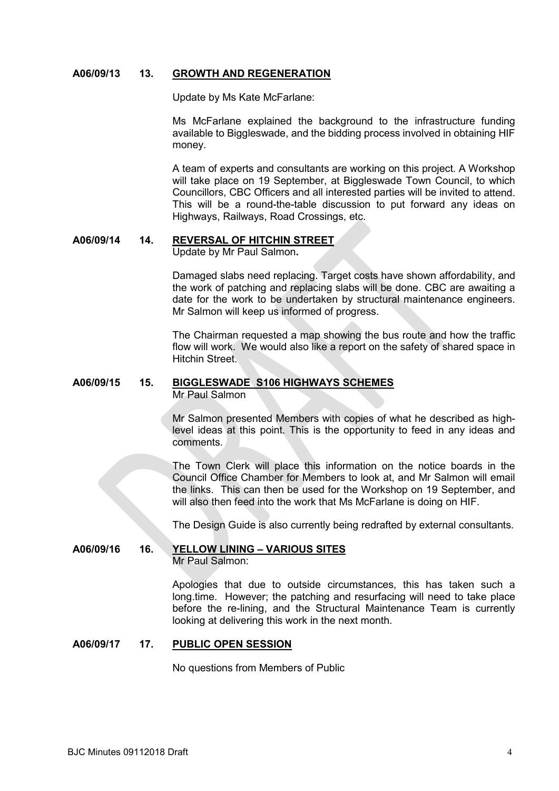### **A06/09/13 13. GROWTH AND REGENERATION**

Update by Ms Kate McFarlane:

Ms McFarlane explained the background to the infrastructure funding available to Biggleswade, and the bidding process involved in obtaining HIF money.

A team of experts and consultants are working on this project. A Workshop will take place on 19 September, at Biggleswade Town Council, to which Councillors, CBC Officers and all interested parties will be invited to attend. This will be a round-the-table discussion to put forward any ideas on Highways, Railways, Road Crossings, etc.

# **A06/09/14 14. REVERSAL OF HITCHIN STREET**

Update by Mr Paul Salmon**.**

Damaged slabs need replacing. Target costs have shown affordability, and the work of patching and replacing slabs will be done. CBC are awaiting a date for the work to be undertaken by structural maintenance engineers. Mr Salmon will keep us informed of progress.

The Chairman requested a map showing the bus route and how the traffic flow will work. We would also like a report on the safety of shared space in Hitchin Street.

# **A06/09/15 15. BIGGLESWADE S106 HIGHWAYS SCHEMES**

Mr Paul Salmon

Mr Salmon presented Members with copies of what he described as highlevel ideas at this point. This is the opportunity to feed in any ideas and comments.

The Town Clerk will place this information on the notice boards in the Council Office Chamber for Members to look at, and Mr Salmon will email the links. This can then be used for the Workshop on 19 September, and will also then feed into the work that Ms McFarlane is doing on HIF.

The Design Guide is also currently being redrafted by external consultants.

### **A06/09/16 16. YELLOW LINING – VARIOUS SITES** Mr Paul Salmon:

Apologies that due to outside circumstances, this has taken such a long.time. However; the patching and resurfacing will need to take place before the re-lining, and the Structural Maintenance Team is currently looking at delivering this work in the next month.

### **A06/09/17 17. PUBLIC OPEN SESSION**

No questions from Members of Public